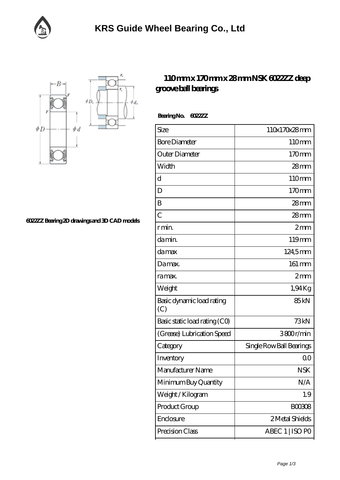



**[6022ZZ Bearing 2D drawings and 3D CAD models](https://facebook-desktop.com/pic-101229.html)**

## **[110 mm x 170 mm x 28 mm NSK 6022ZZ deep](https://facebook-desktop.com/bs-101229-nsk-6022zz-deep-groove-ball-bearings.html) [groove ball bearings](https://facebook-desktop.com/bs-101229-nsk-6022zz-deep-groove-ball-bearings.html)**

 **Bearing No. 6022ZZ**

| 110x170x28mm             |
|--------------------------|
| 110mm                    |
| 170mm                    |
| 28mm                     |
| 110mm                    |
| 170mm                    |
| 28mm                     |
| $28$ mm                  |
| 2mm                      |
| 119mm                    |
| 124,5mm                  |
| 161 mm                   |
| $2 \text{mm}$            |
| 1,94Kg                   |
| 85 <sub>kN</sub>         |
| 73kN                     |
| 3800r/min                |
| Single Row Ball Bearings |
| Q0                       |
| <b>NSK</b>               |
| N/A                      |
| 1.9                      |
| <b>BOO3O8</b>            |
|                          |
| 2 Metal Shields          |
|                          |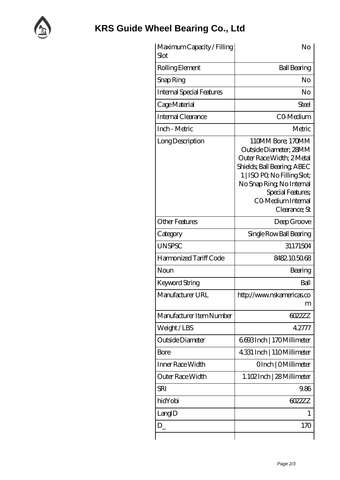

| Maximum Capacity / Filling<br>Slot | No                                                                                                                                                                                                                              |
|------------------------------------|---------------------------------------------------------------------------------------------------------------------------------------------------------------------------------------------------------------------------------|
| Rolling Element                    | <b>Ball Bearing</b>                                                                                                                                                                                                             |
| Snap Ring                          | No                                                                                                                                                                                                                              |
| <b>Internal Special Features</b>   | No                                                                                                                                                                                                                              |
| Cage Material                      | Steel                                                                                                                                                                                                                           |
| Internal Clearance                 | CO-Medium                                                                                                                                                                                                                       |
| Inch - Metric                      | Metric                                                                                                                                                                                                                          |
| Long Description                   | 110MM Bore; 170MM<br>Outside Diameter; 28MM<br>Outer Race Width; 2Metal<br>Shields, Ball Bearing, ABEC<br>1   ISO PO, No Filling Slot;<br>No Snap Ring, No Internal<br>Special Features;<br>CO Medium Internal<br>Clearance; St |
| <b>Other Features</b>              | Deep Groove                                                                                                                                                                                                                     |
| Category                           | Single Row Ball Bearing                                                                                                                                                                                                         |
| <b>UNSPSC</b>                      | 31171504                                                                                                                                                                                                                        |
| Harmonized Tariff Code             | 8482105068                                                                                                                                                                                                                      |
| Noun                               | Bearing                                                                                                                                                                                                                         |
| Keyword String                     | Ball                                                                                                                                                                                                                            |
| Manufacturer URL                   | http://www.nskamericas.co<br>m                                                                                                                                                                                                  |
| Manufacturer Item Number           | 6022ZZ                                                                                                                                                                                                                          |
| Weight/LBS                         | 42777                                                                                                                                                                                                                           |
| Outside Diameter                   | 6693Inch   170Millimeter                                                                                                                                                                                                        |
| Bore                               | 4.331 Inch   110Millimeter                                                                                                                                                                                                      |
| Inner Race Width                   | OInch   OMillimeter                                                                                                                                                                                                             |
| Outer Race Width                   | 1.102Inch   28 Millimeter                                                                                                                                                                                                       |
| <b>SRI</b>                         | 9.86                                                                                                                                                                                                                            |
| hidYobi                            | 6022ZZ                                                                                                                                                                                                                          |
| LangID                             | 1                                                                                                                                                                                                                               |
| $D_{-}$                            | 170                                                                                                                                                                                                                             |
|                                    |                                                                                                                                                                                                                                 |